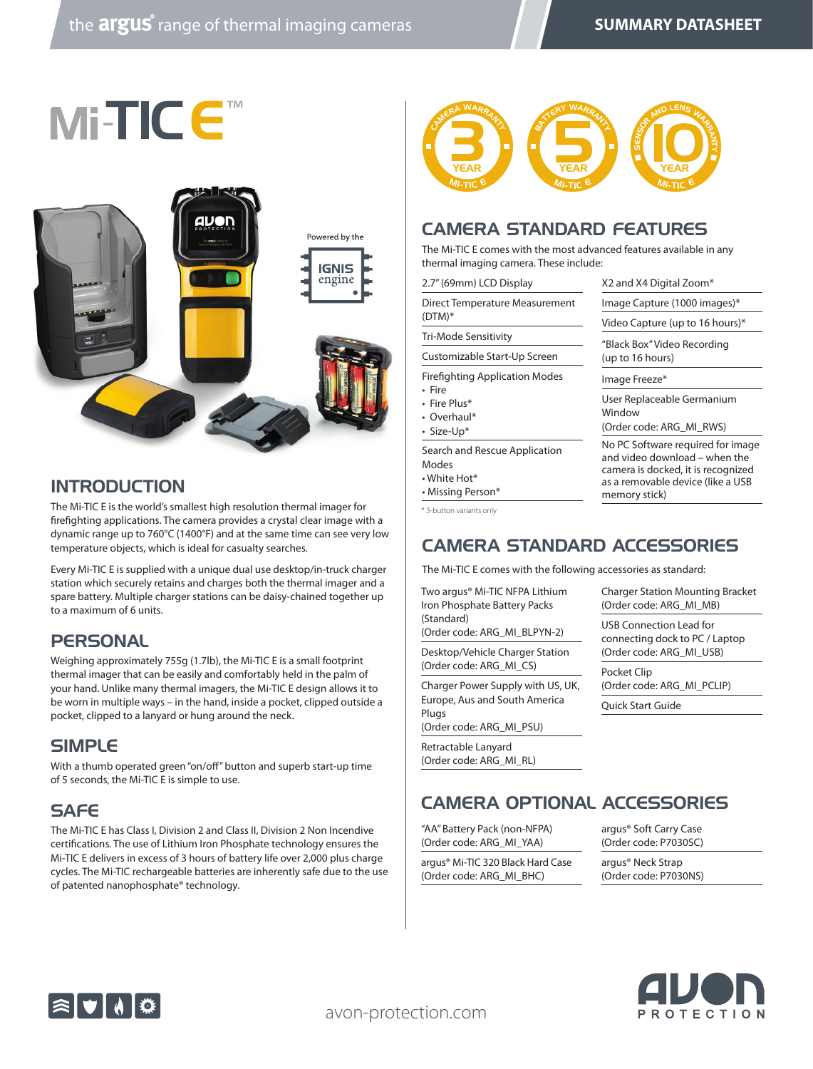



## INTRODUCTION

The Mi-TIC E is the world's smallest high resolution thermal imager for firefighting applications. The camera provides a crystal clear image with a dynamic range up to 760°C (1400°F) and at the same time can see very low temperature objects, which is ideal for casualty searches.

Every Mi-TIC E is supplied with a unique dual use desktop/in-truck charger station which securely retains and charges both the thermal imager and a spare battery. Multiple charger stations can be daisy-chained together up to a maximum of 6 units.

#### **PERSONAL**

Weighing approximately 755g (1.7lb), the Mi-TIC E is a small footprint thermal imager that can be easily and comfortably held in the palm of your hand. Unlike many thermal imagers, the Mi-TIC E design allows it to be worn in multiple ways – in the hand, inside a pocket, clipped outside a pocket, clipped to a lanyard or hung around the neck.

#### **SIMPL<sub>E</sub>**

With a thumb operated green "on/off" button and superb start-up time of 5 seconds, the Mi-TIC E is simple to use.

# **SAFE**

The Mi-TIC E has Class I, Division 2 and Class II, Division 2 Non Incendive certifications. The use of Lithium Iron Phosphate technology ensures the Mi-TIC E delivers in excess of 3 hours of battery life over 2,000 plus charge cycles. The Mi-TIC rechargeable batteries are inherently safe due to the use of patented nanophosphate® technology.



#### CAMERA STANDARD FEATURES

The Mi-TIC E comes with the most advanced features available in any thermal imaging camera. These include:

| 2.7" (69mm) LCD Display                                                           | X2 and X4 Digital Zoom*                                                                                                                                        |  |
|-----------------------------------------------------------------------------------|----------------------------------------------------------------------------------------------------------------------------------------------------------------|--|
| Direct Temperature Measurement                                                    | Image Capture (1000 images)*                                                                                                                                   |  |
| $(DTM)*$                                                                          | Video Capture (up to 16 hours)*                                                                                                                                |  |
| Tri-Mode Sensitivity                                                              | "Black Box" Video Recording                                                                                                                                    |  |
| Customizable Start-Up Screen                                                      | (up to 16 hours)                                                                                                                                               |  |
| <b>Firefighting Application Modes</b>                                             | Image Freeze*                                                                                                                                                  |  |
| • Fire<br>• Fire Plus*<br>• Overhaul*<br>· Size-Up*                               | User Replaceable Germanium<br>Window<br>(Order code: ARG MI RWS)                                                                                               |  |
| Search and Rescue Application<br>Modes<br>$\cdot$ White Hot*<br>• Missing Person* | No PC Software required for image<br>and video download – when the<br>camera is docked, it is recognized<br>as a removable device (like a USB<br>memory stick) |  |
| * 3-button variants only                                                          |                                                                                                                                                                |  |
| <b>CAMERA STANDARD ACCESSORIES</b>                                                |                                                                                                                                                                |  |

The Mi-TIC E comes with the following accessories as standard:

Two argus® Mi-TIC NFPA Lithium Iron Phosphate Battery Packs (Standard)

(Order code: ARG\_MI\_BLPYN-2)

Desktop/Vehicle Charger Station (Order code: ARG\_MI\_CS)

Charger Power Supply with US, UK, Europe, Aus and South America Plugs (Order code: ARG\_MI\_PSU)

Retractable Lanyard (Order code: ARG\_MI\_RL) Charger Station Mounting Bracket (Order code: ARG\_MI\_MB)

USB Connection Lead for connecting dock to PC / Laptop (Order code: ARG\_MI\_USB)

Pocket Clip (Order code: ARG\_MI\_PCLIP)

Quick Start Guide

CAMERA OPTIONAL ACCESSORIES

"AA" Battery Pack (non-NFPA) (Order code: ARG\_MI\_YAA)

argus® Mi-TIC 320 Black Hard Case (Order code: ARG\_MI\_BHC)

argus® Soft Carry Case (Order code: P7030SC)

argus® Neck Strap (Order code: P7030NS)